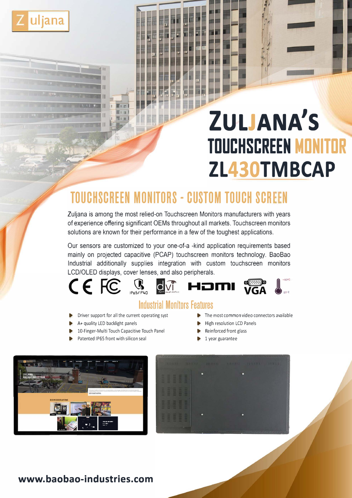

# **ZULJANA'S TOUCHSCREEN MONITOR ZL430TMBCAP**

# **TOUCHSCREEN MONITORS - CUSTOM TOUCH SCREEN**

Zuljana is among the most relied-on Touchscreen Monitors manufacturers with years of experience offering significant OEMs throughout all markets. Touchscreen monitors solutions are known for their performance in a few of the toughest applications.

Our sensors are customized to your one-of-a -kind application requirements based mainly on projected capacitive (PCAP) touchscreen monitors technology. BaoBao Industrial additionally supplies integration with custom touchscreen monitors LCD/OLEO displays, cover lenses, and also peripherals.



## **Industrial Monitors features**

- Driver support for all the current operating syst **► ■** The most common video connectors available
- A+ quality LED backlight panels 
Below and the High resolution LCD Panels
- 10-Finger-Multi Touch Capacitive Touch Panel ▶ Reinforced front glass
- Patented IP65 front with silicon seal 1 year guarantee
- 
- 
- -





### **www.baobao-industries.com**